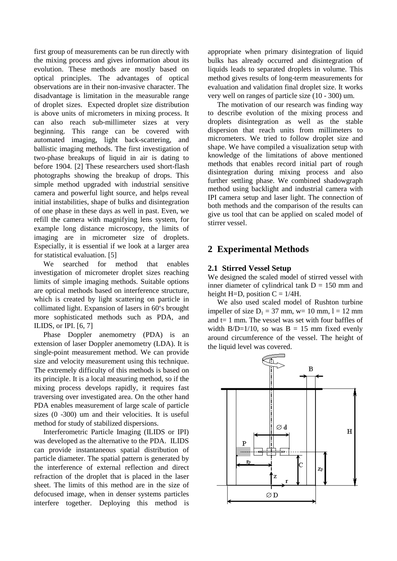first group of measurements can be run directly with the mixing process and gives information about its evolution. These methods are mostly based on optical principles. The advantages of optical observations are in their non-invasive character. The disadvantage is limitation in the measurable range of droplet sizes. Expected droplet size distribution is above units of micrometers in mixing process. It can also reach sub-millimeter sizes at very beginning. This range can be covered with automated imaging, light back-scattering, and ballistic imaging methods. The first investigation of two-phase breakups of liquid in air is dating to before 1904. [2] These researchers used short-flash photographs showing the breakup of drops. This simple method upgraded with industrial sensitive camera and powerful light source, and helps reveal initial instabilities, shape of bulks and disintegration of one phase in these days as well in past. Even, we refill the camera with magnifying lens system, for example long distance microscopy, the limits of imaging are in micrometer size of droplets. Especially, it is essential if we look at a larger area for statistical evaluation. [5]

We searched for method that enables investigation of micrometer droplet sizes reaching limits of simple imaging methods. Suitable options are optical methods based on interference structure, which is created by light scattering on particle in collimated light. Expansion of lasers in 60's brought more sophisticated methods such as PDA, and ILIDS, or IPI. [6, 7]

Phase Doppler anemometry (PDA) is an extension of laser Doppler anemometry (LDA). It is single-point measurement method. We can provide size and velocity measurement using this technique. The extremely difficulty of this methods is based on its principle. It is a local measuring method, so if the mixing process develops rapidly, it requires fast traversing over investigated area. On the other hand PDA enables measurement of large scale of particle sizes (0 -300) um and their velocities. It is useful method for study of stabilized dispersions.

Interferometric Particle Imaging (ILIDS or IPI) was developed as the alternative to the PDA. ILIDS can provide instantaneous spatial distribution of particle diameter. The spatial pattern is generated by the interference of external reflection and direct refraction of the droplet that is placed in the laser sheet. The limits of this method are in the size of defocused image, when in denser systems particles interfere together. Deploying this method is

appropriate when primary disintegration of liquid bulks has already occurred and disintegration of liquids leads to separated droplets in volume. This method gives results of long-term measurements for evaluation and validation final droplet size. It works very well on ranges of particle size (10 - 300) um.

The motivation of our research was finding way to describe evolution of the mixing process and droplets disintegration as well as the stable dispersion that reach units from millimeters to micrometers. We tried to follow droplet size and shape. We have compiled a visualization setup with knowledge of the limitations of above mentioned methods that enables record initial part of rough disintegration during mixing process and also further settling phase. We combined shadowgraph method using backlight and industrial camera with IPI camera setup and laser light. The connection of both methods and the comparison of the results can give us tool that can be applied on scaled model of stirrer vessel.

# **2 Experimental Methods**

### **2.1 Stirred Vessel Setup**

We designed the scaled model of stirred vessel with inner diameter of cylindrical tank  $D = 150$  mm and height H=D, position  $C = 1/4H$ .

We also used scaled model of Rushton turbine impeller of size  $D_1 = 37$  mm,  $w= 10$  mm,  $l = 12$  mm and t= 1 mm. The vessel was set with four baffles of width B/D=1/10, so was  $B = 15$  mm fixed evenly around circumference of the vessel. The height of the liquid level was covered.

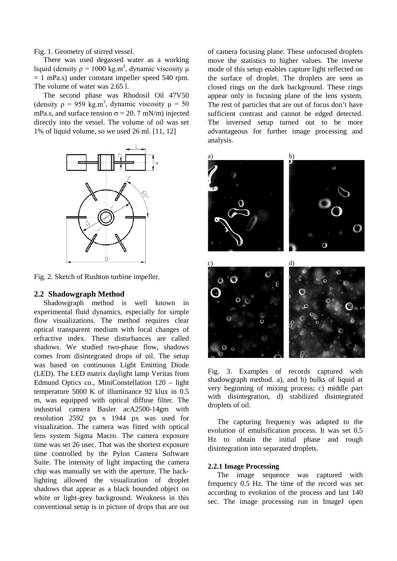Fig. 1. Geometry of stirred vessel.

There was used degassed water as a working liquid (density  $p = 1000 \text{ kg.m}^3$ , dynamic viscosity  $\mu$  $= 1$  mPa.s) under constant impeller speed 540 rpm. The volume of water was 2.65 l.

The second phase was Rhodosil Oil 47V50 (density  $\rho = 959$  kg.m<sup>3</sup>, dynamic viscosity  $\mu = 50$ mPa.s, and surface tension  $\sigma = 20$ . 7 mN/m) injected directly into the vessel. The volume of oil was set 1% of liquid volume, so we used 26 ml. [11, 12]



Fig. 2. Sketch of Rushton turbine impeller.

#### **2.2 Shadowgraph Method**

Shadowgraph method is well known in experimental fluid dynamics, especially for simple flow visualizations. The method requires clear optical transparent medium with local changes of refractive index. These disturbances are called shadows. We studied two-phase flow, shadows comes from disintegrated drops of oil. The setup was based on continuous Light Emitting Diode (LED). The LED matrix daylight lamp Veritas from Edmund Optics co., MiniConstellation 120 – light temperature 5000 K of illuminance 92 klux in 0.5 m, was equipped with optical diffuse filter. The industrial camera Basler acA2500-14gm with resolution 2592 px x 1944 px was used for visualization. The camera was fitted with optical lens system Sigma Macro. The camera exposure time was set 26 usec. That was the shortest exposure time controlled by the Pylon Camera Software Suite. The intensity of light impacting the camera chip was manually set with the aperture. The backlighting allowed the visualization of droplet shadows that appear as a black bounded object on white or light-grey background. Weakness in this conventional setup is in picture of drops that are out of camera focusing plane. These unfocused droplets move the statistics to higher values. The inverse mode of this setup enables capture light reflected on the surface of droplet. The droplets are seen as closed rings on the dark background. These rings appear only in focusing plane of the lens system. The rest of particles that are out of focus don't have sufficient contrast and cannot be edged detected. The inversed setup turned out to be more advantageous for further image processing and analysis.



Fig. 3. Examples of records captured with shadowgraph method. a), and b) bulks of liquid at very beginning of mixing process; c) middle part with disintegration, d) stabilized disintegrated droplets of oil.

The capturing frequency was adapted to the evolution of emulsification process. It was set 0.5 Hz to obtain the initial phase and rough disintegration into separated droplets.

#### **2.2.1 Image Processing**

The image sequence was captured with frequency 0.5 Hz. The time of the record was set according to evolution of the process and last 140 sec. The image processing run in ImageJ open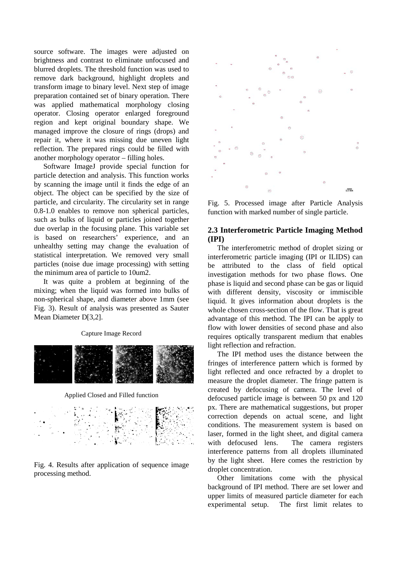source software. The images were adjusted on brightness and contrast to eliminate unfocused and blurred droplets. The threshold function was used to remove dark background, highlight droplets and transform image to binary level. Next step of image preparation contained set of binary operation. There was applied mathematical morphology closing operator. Closing operator enlarged foreground region and kept original boundary shape. We managed improve the closure of rings (drops) and repair it, where it was missing due uneven light reflection. The prepared rings could be filled with another morphology operator – filling holes.

Software ImageJ provide special function for particle detection and analysis. This function works by scanning the image until it finds the edge of an object. The object can be specified by the size of particle, and circularity. The circularity set in range 0.8-1.0 enables to remove non spherical particles, such as bulks of liquid or particles joined together due overlap in the focusing plane. This variable set is based on researchers' experience, and an unhealthy setting may change the evaluation of statistical interpretation. We removed very small particles (noise due image processing) with setting the minimum area of particle to 10um2.

It was quite a problem at beginning of the mixing; when the liquid was formed into bulks of non-spherical shape, and diameter above 1mm (see Fig. 3). Result of analysis was presented as Sauter Mean Diameter D[3,2].

#### Capture Image Record



Applied Closed and Filled function



Fig. 4. Results after application of sequence image processing method.



Fig. 5. Processed image after Particle Analysis function with marked number of single particle.

### **2.3 Interferometric Particle Imaging Method (IPI)**

The interferometric method of droplet sizing or interferometric particle imaging (IPI or ILIDS) can be attributed to the class of field optical investigation methods for two phase flows. One phase is liquid and second phase can be gas or liquid with different density, viscosity or immiscible liquid. It gives information about droplets is the whole chosen cross-section of the flow. That is great advantage of this method. The IPI can be apply to flow with lower densities of second phase and also requires optically transparent medium that enables light reflection and refraction.

The IPI method uses the distance between the fringes of interference pattern which is formed by light reflected and once refracted by a droplet to measure the droplet diameter. The fringe pattern is created by defocusing of camera. The level of defocused particle image is between 50 px and 120 px. There are mathematical suggestions, but proper correction depends on actual scene, and light conditions. The measurement system is based on laser, formed in the light sheet, and digital camera with defocused lens. The camera registers interference patterns from all droplets illuminated by the light sheet. Here comes the restriction by droplet concentration.

Other limitations come with the physical background of IPI method. There are set lower and upper limits of measured particle diameter for each experimental setup. The first limit relates to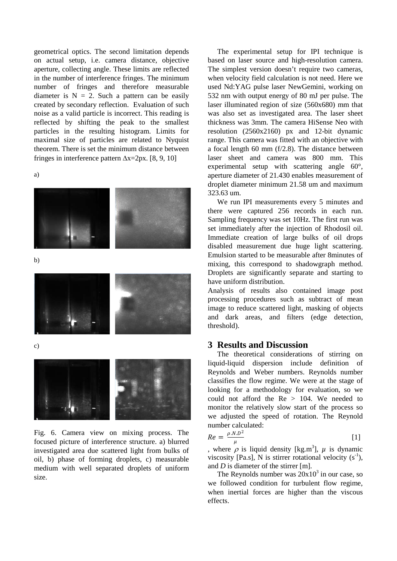geometrical optics. The second limitation depends on actual setup, i.e. camera distance, objective aperture, collecting angle. These limits are reflected in the number of interference fringes. The minimum number of fringes and therefore measurable diameter is  $N = 2$ . Such a pattern can be easily created by secondary reflection. Evaluation of such noise as a valid particle is incorrect. This reading is reflected by shifting the peak to the smallest particles in the resulting histogram. Limits for maximal size of particles are related to Nyquist theorem. There is set the minimum distance between fringes in interference pattern ∆x=2px. [8, 9, 10]

a)



b)



c)



Fig. 6. Camera view on mixing process. The focused picture of interference structure. a) blurred investigated area due scattered light from bulks of oil, b) phase of forming droplets, c) measurable medium with well separated droplets of uniform size.

The experimental setup for IPI technique is based on laser source and high-resolution camera. The simplest version doesn't require two cameras, when velocity field calculation is not need. Here we used Nd:YAG pulse laser NewGemini, working on 532 nm with output energy of 80 mJ per pulse. The laser illuminated region of size (560x680) mm that was also set as investigated area. The laser sheet thickness was 3mm. The camera HiSense Neo with resolution (2560x2160) px and 12-bit dynamic range. This camera was fitted with an objective with a focal length 60 mm (f/2.8). The distance between laser sheet and camera was 800 mm. This experimental setup with scattering angle 60°, aperture diameter of 21.430 enables measurement of droplet diameter minimum 21.58 um and maximum 323.63 um.

We run IPI measurements every 5 minutes and there were captured 256 records in each run. Sampling frequency was set 10Hz. The first run was set immediately after the injection of Rhodosil oil. Immediate creation of large bulks of oil drops disabled measurement due huge light scattering. Emulsion started to be measurable after 8minutes of mixing, this correspond to shadowgraph method. Droplets are significantly separate and starting to have uniform distribution.

Analysis of results also contained image post processing procedures such as subtract of mean image to reduce scattered light, masking of objects and dark areas, and filters (edge detection, threshold).

### **3 Results and Discussion**

The theoretical considerations of stirring on liquid-liquid dispersion include definition of Reynolds and Weber numbers. Reynolds number classifies the flow regime. We were at the stage of looking for a methodology for evaluation, so we could not afford the Re > 104. We needed to monitor the relatively slow start of the process so we adjusted the speed of rotation. The Reynold number calculated:

$$
Re = \frac{\rho.N.D^2}{\mu} \tag{1}
$$

, where  $\rho$  is liquid density [kg.m<sup>3</sup>],  $\mu$  is dynamic viscosity [Pa.s], N is stirrer rotational velocity  $(s^{-1})$ , and *D* is diameter of the stirrer [m].

The Reynolds number was  $20x10^3$  in our case, so we followed condition for turbulent flow regime, when inertial forces are higher than the viscous effects.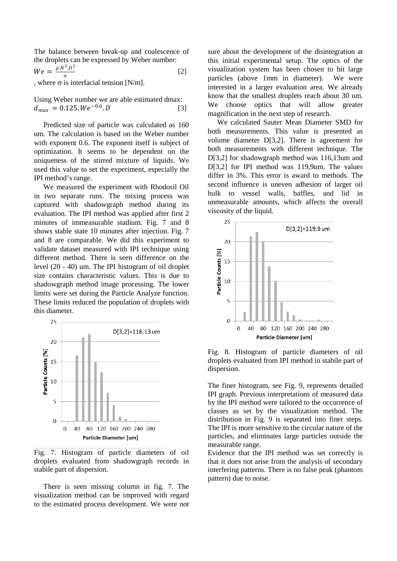The balance between break-up and coalescence of the droplets can be expressed by Weber number:

$$
We = \frac{\rho N^2 D^3}{\sigma} \tag{2}
$$

, where  $\sigma$  is interfacial tension [N/m].

Using Weber number we are able estimated dmax:  $d_{max} = 0.125. We^{-0.6}.$  [3]

Predicted size of particle was calculated as 160 um. The calculation is based on the Weber number with exponent 0.6. The exponent itself is subject of optimization. It seems to be dependent on the uniqueness of the stirred mixture of liquids. We used this value to set the experiment, especially the IPI method's range.

We measured the experiment with Rhodosil Oil in two separate runs. The mixing process was captured with shadowgraph method during its evaluation. The IPI method was applied after first 2 minutes of immeasurable stadium. Fig. 7 and 8 shows stable state 10 minutes after injection. Fig. 7 and 8 are comparable. We did this experiment to validate dataset measured with IPI technique using different method. There is seen difference on the level (20 - 40) um. The IPI histogram of oil droplet size contains characteristic values. This is due to shadowgraph method image processing. The lower limits were set during the Particle Analyze function. These limits reduced the population of droplets with this diameter.



Fig. 7. Histogram of particle diameters of oil droplets evaluated from shadowgraph records in stabile part of dispersion.

There is seen missing column in fig. 7. The visualization method can be improved with regard to the estimated process development. We were not sure about the development of the disintegration at this initial experimental setup. The optics of the visualization system has been chosen to hit large particles (above 1mm in diameter). We were interested in a larger evaluation area. We already know that the smallest droplets reach about 30 um. We choose optics that will allow greater magnification in the next step of research.

We calculated Sauter Mean Diameter SMD for both measurements. This value is presented as volume diameter D[3,2]. There is agreement for both measurements with different technique. The D[3,2] for shadowgraph method was 116,13um and D[3,2] for IPI method was 119,9um. The values differ in 3%. This error is award to methods. The second influence is uneven adhesion of larger oil bulk to vessel walls, baffles, and lid in unmeasurable amounts, which affects the overall viscosity of the liquid.



Fig. 8. Histogram of particle diameters of oil droplets evaluated from IPI method in stabile part of dispersion.

The finer histogram, see Fig. 9, represents detailed IPI graph. Previous interpretations of measured data by the IPI method were tailored to the occurrence of classes as set by the visualization method. The distribution in Fig. 9 is separated into finer steps. The IPI is more sensitive to the circular nature of the particles, and eliminates large particles outside the measurable range.

Evidence that the IPI method was set correctly is that it does not arise from the analysis of secondary interfering patterns. There is no false peak (phantom pattern) due to noise.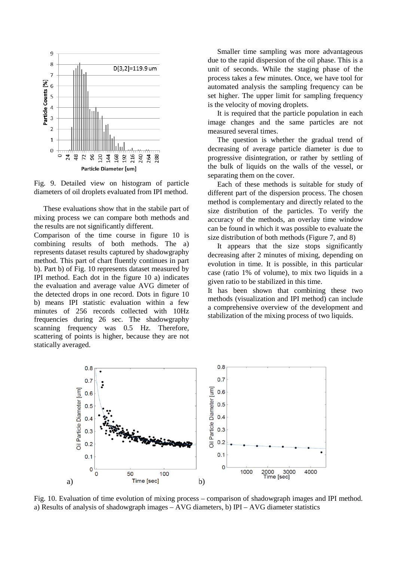

Fig. 9. Detailed view on histogram of particle diameters of oil droplets evaluated from IPI method.

These evaluations show that in the stabile part of mixing process we can compare both methods and the results are not significantly different.

Comparison of the time course in figure 10 is combining results of both methods. The a) represents dataset results captured by shadowgraphy method. This part of chart fluently continues in part b). Part b) of Fig. 10 represents dataset measured by IPI method. Each dot in the figure 10 a) indicates the evaluation and average value AVG dimeter of the detected drops in one record. Dots in figure 10 b) means IPI statistic evaluation within a few minutes of 256 records collected with 10Hz frequencies during 26 sec. The shadowgraphy scanning frequency was 0.5 Hz. Therefore, scattering of points is higher, because they are not statically averaged.

Smaller time sampling was more advantageous due to the rapid dispersion of the oil phase. This is a unit of seconds. While the staging phase of the process takes a few minutes. Once, we have tool for automated analysis the sampling frequency can be set higher. The upper limit for sampling frequency is the velocity of moving droplets.

It is required that the particle population in each image changes and the same particles are not measured several times.

The question is whether the gradual trend of decreasing of average particle diameter is due to progressive disintegration, or rather by settling of the bulk of liquids on the walls of the vessel, or separating them on the cover.

Each of these methods is suitable for study of different part of the dispersion process. The chosen method is complementary and directly related to the size distribution of the particles. To verify the accuracy of the methods, an overlay time window can be found in which it was possible to evaluate the size distribution of both methods (Figure 7, and 8)

It appears that the size stops significantly decreasing after 2 minutes of mixing, depending on evolution in time. It is possible, in this particular case (ratio 1% of volume), to mix two liquids in a given ratio to be stabilized in this time.

It has been shown that combining these two methods (visualization and IPI method) can include a comprehensive overview of the development and stabilization of the mixing process of two liquids.



Fig. 10. Evaluation of time evolution of mixing process – comparison of shadowgraph images and IPI method. a) Results of analysis of shadowgraph images  $-$  AVG diameters, b) IPI  $-$  AVG diameter statistics